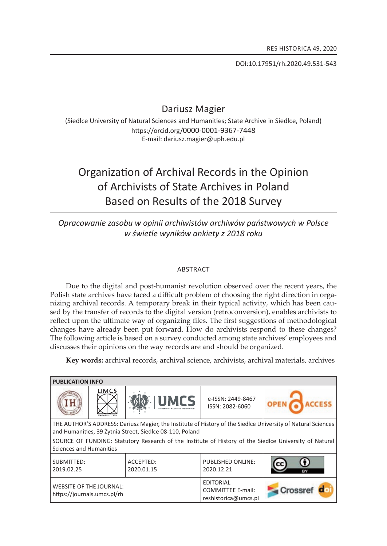Doi:10.17951/rh.2020.49.531-543

## Dariusz Magier

(Siedlce University of Natural Sciences and Humanities; State Archive in Siedlce, Poland) https://orcid.org/0000-0001-9367-7448 E-mail: dariusz.magier@uph.edu.pl

# Organization of Archival Records in the Opinion of archivists of state archives in poland Based on Results of the 2018 Survey

### *opracowanie zasobu w opinii archiwistów archiwów państwowych w Polsce w świetle wyników ankiety z 2018 roku*

#### **ABSTRACT**

Due to the digital and post-humanist revolution observed over the recent years, the Polish state archives have faced a difficult problem of choosing the right direction in organizing archival records. a temporary break in their typical activity, which has been caused by the transfer of records to the digital version (retroconversion), enables archivists to reflect upon the ultimate way of organizing files. the first suggestions of methodological changes have already been put forward. how do archivists respond to these changes? the following article is based on a survey conducted among state archives' employees and discusses their opinions on the way records are and should be organized.

**Key words:** archival records, archival science, archivists, archival materials, archives

| <b>PUBLICATION INFO</b>                                                                                                                                                  |             |                         |                                                                      |         |
|--------------------------------------------------------------------------------------------------------------------------------------------------------------------------|-------------|-------------------------|----------------------------------------------------------------------|---------|
|                                                                                                                                                                          | <b>UMCS</b> | <b>UMCS</b>             | e-ISSN: 2449-8467<br>ISSN: 2082-6060                                 |         |
| THE AUTHOR'S ADDRESS: Dariusz Magier, the Institute of History of the Siedlce University of Natural Sciences<br>and Humanities, 39 Żytnia Street, Siedlce 08-110, Poland |             |                         |                                                                      |         |
| SOURCE OF FUNDING: Statutory Research of the Institute of History of the Siedlce University of Natural<br>Sciences and Humanities                                        |             |                         |                                                                      |         |
| SUBMITTED:<br>2019.02.25                                                                                                                                                 |             | ACCEPTED:<br>2020.01.15 | <b>PUBLISHED ONLINE:</b><br>2020.12.21                               | cc      |
| <b>WEBSITE OF THE JOURNAL:</b><br>https://journals.umcs.pl/rh                                                                                                            |             |                         | <b>EDITORIAL</b><br><b>COMMITTEE E-mail:</b><br>reshistorica@umcs.pl | Crossre |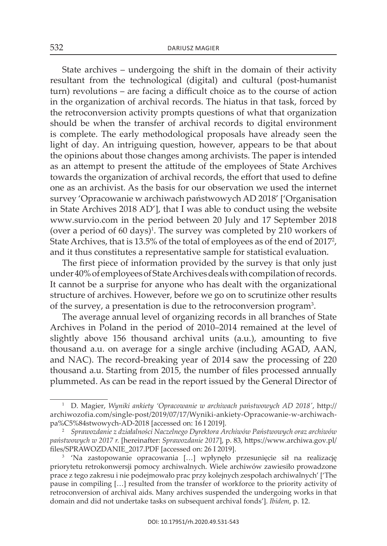state archives – undergoing the shift in the domain of their activity resultant from the technological (digital) and cultural (post-humanist turn) revolutions – are facing a difficult choice as to the course of action in the organization of archival records. The hiatus in that task, forced by the retroconversion activity prompts questions of what that organization should be when the transfer of archival records to digital environment is complete. The early methodological proposals have already seen the light of day. An intriguing question, however, appears to be that about the opinions about those changes among archivists. The paper is intended as an attempt to present the attitude of the employees of State Archives towards the organization of archival records, the effort that used to define one as an archivist. as the basis for our observation we used the internet survey 'Opracowanie w archiwach państwowych AD 2018' ['Organisation in State Archives 2018 AD'], that I was able to conduct using the website www.survio.com in the period between 20 July and 17 september 2018 (over a period of 60 days)<sup>1</sup>. The survey was completed by 210 workers of State Archives, that is 13.5% of the total of employees as of the end of 2017<sup>2</sup>, and it thus constitutes a representative sample for statistical evaluation.

The first piece of information provided by the survey is that only just under 40% of employees of State Archives deals with compilation of records. It cannot be a surprise for anyone who has dealt with the organizational structure of archives. however, before we go on to scrutinize other results of the survey, a presentation is due to the retroconversion program<sup>3</sup>.

The average annual level of organizing records in all branches of State archives in Poland in the period of 2010–2014 remained at the level of slightly above 156 thousand archival units (a.u.), amounting to five thousand a.u. on average for a single archive (including AGAD, AAN, and NAC). The record-breaking year of 2014 saw the processing of 220 thousand a.u. starting from 2015, the number of files processed annually plummeted. as can be read in the report issued by the General Director of

<sup>1</sup> D. Magier, *Wyniki ankiety 'Opracowanie w archiwach państwowych AD 2018'*, http:// archiwozofia.com/single-post/2019/07/17/Wyniki-ankiety-opracowanie-w-archiwachpa%C5%84stwowych-AD-2018 [accessed on: 16 I 2019].

<sup>2</sup>*Sprawozdanie z działalności Naczelnego Dyrektora Archiwów Państwowych oraz archiwów państwowych w 2017 r.* [hereinafter: *Sprawozdanie 2017*], p. 83, https://www.archiwa.gov.pl/ files/sPrawOzdanie\_2017.PdF [accessed on: 26 i 2019].

<sup>&</sup>lt;sup>3</sup> 'Na zastopowanie opracowania [...] wpłynęło przesunięcie sił na realizację priorytetu retrokonwersji pomocy archiwalnych. wiele archiwów zawiesiło prowadzone prace z tego zakresu i nie podejmowało prac przy kolejnych zespołach archiwalnych' ['the pause in compiling […] resulted from the transfer of workforce to the priority activity of retroconversion of archival aids. Many archives suspended the undergoing works in that domain and did not undertake tasks on subsequent archival fonds']. *Ibidem*, p. 12.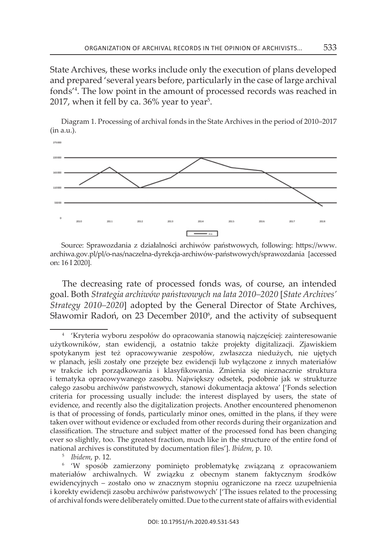State Archives, these works include only the execution of plans developed and prepared 'several years before, particularly in the case of large archival fonds<sup>'4</sup>. The low point in the amount of processed records was reached in 2017, when it fell by ca. 36% year to year $^5\!$ .



Diagram 1. Processing of archival fonds in the State Archives in the period of 2010–2017 (in a.u.).

source: sprawozdania z działalności archiwów państwowych, following: https://www. archiwa.gov.pl/pl/o-nas/naczelna-dyrekcja-archiwów-państwowych/sprawozdania [accessed on: 16 i 2020].

The decreasing rate of processed fonds was, of course, an intended goal. Both *Strategia archiwów państwowych na lata 2010–2020* [*State Archives' Strategy 2010–2020*] adopted by the General Director of State Archives, Sławomir Radoń, on 23 December 2010<sup>6</sup>, and the activity of subsequent

<sup>5</sup>*Ibidem*, p. 12.

<sup>4</sup>'kryteria wyboru zespołów do opracowania stanowią najczęściej: zainteresowanie użytkowników, stan ewidencji, a ostatnio także projekty digitalizacji. zjawiskiem spotykanym jest też opracowywanie zespołów, zwłaszcza niedużych, nie ujętych w planach, jeśli zostały one przejęte bez ewidencji lub wyłączone z innych materiałów w trakcie ich porządkowania i klasyfikowania. zmienia się nieznacznie struktura i tematyka opracowywanego zasobu. największy odsetek, podobnie jak w strukturze całego zasobu archiwów państwowych, stanowi dokumentacja aktowa' ['Fonds selection criteria for processing usually include: the interest displayed by users, the state of evidence, and recently also the digitalization projects. another encountered phenomenon is that of processing of fonds, particularly minor ones, omitted in the plans, if they were taken over without evidence or excluded from other records during their organization and classification. the structure and subject matter of the processed fond has been changing ever so slightly, too. The greatest fraction, much like in the structure of the entire fond of national archives is constituted by documentation files']. *Ibidem*, p. 10.

<sup>&</sup>lt;sup>6</sup> 'W sposób zamierzony pominięto problematykę związaną z opracowaniem materiałów archiwalnych. w związku z obecnym stanem faktycznym środków ewidencyjnych – zostało ono w znacznym stopniu ograniczone na rzecz uzupełnienia i korekty ewidencji zasobu archiwów państwowych' ['the issues related to the processing of archival fonds were deliberately omitted. Due to the current state of affairs with evidential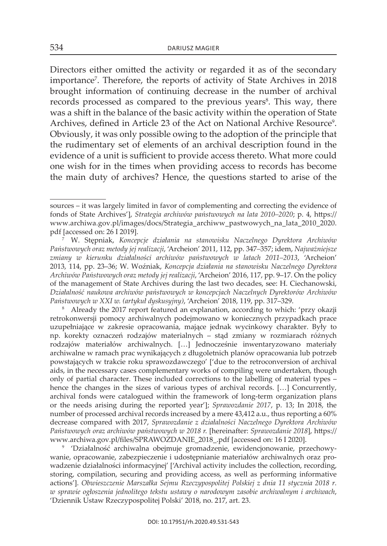Directors either omitted the activity or regarded it as of the secondary importance<sup>7</sup>. Therefore, the reports of activity of State Archives in 2018 brought information of continuing decrease in the number of archival records processed as compared to the previous years<sup>8</sup>. This way, there was a shift in the balance of the basic activity within the operation of state Archives, defined in Article 23 of the Act on National Archive Resource<sup>9</sup>. obviously, it was only possible owing to the adoption of the principle that the rudimentary set of elements of an archival description found in the evidence of a unit is sufficient to provide access thereto. what more could one wish for in the times when providing access to records has become the main duty of archives? Hence, the questions started to arise of the

<sup>8</sup> Already the 2017 report featured an explanation, according to which: 'przy okazji retrokonwersji pomocy archiwalnych podejmowano w koniecznych przypadkach prace uzupełniające w zakresie opracowania, mające jednak wycinkowy charakter. Były to np. korekty oznaczeń rodzajów materialnych – stąd zmiany w rozmiarach różnych rodzajów materiałów archiwalnych. […] Jednocześnie inwentaryzowano materiały archiwalne w ramach prac wynikających z długoletnich planów opracowania lub potrzeb powstających w trakcie roku sprawozdawczego' ['due to the retroconversion of archival aids, in the necessary cases complementary works of compiling were undertaken, though only of partial character. these included corrections to the labelling of material types – hence the changes in the sizes of various types of archival records. […] Concurrently, archival fonds were catalogued within the framework of long-term organization plans or the needs arising during the reported year']; *Sprawozdanie 2017*, p. 13; in 2018, the number of processed archival records increased by a mere 43,412 a.u., thus reporting a 60% decrease compared with 2017, *Sprawozdanie z działalności Naczelnego Dyrektora Archiwów Państwowych oraz archiwów państwowych w 2018 r.* [hereinafter: *Sprawozdanie 2018*], https:// www.archiwa.gov.pl/files/SPRAWOZDANIE\_2018\_.pdf [accessed on: 16 I 2020].

<sup>9</sup> 'Działalność archiwalna obejmuje gromadzenie, ewidencjonowanie, przechowywanie, opracowanie, zabezpieczenie i udostępnianie materiałów archiwalnych oraz prowadzenie działalności informacyjnej' ['Archival activity includes the collection, recording, storing, compilation, securing and providing access, as well as performing informative actions']. *Obwieszczenie Marszałka Sejmu Rzeczypospolitej Polskiej z dnia 11 stycznia 2018 r. w sprawie ogłoszenia jednolitego tekstu ustawy o narodowym zasobie archiwalnym i archiwach*, 'Dziennik Ustaw Rzeczypospolitej Polski' 2018, no. 217, art. 23.

sources – it was largely limited in favor of complementing and correcting the evidence of fonds of state archives'], *Strategia archiwów państwowych na lata 2010–2020*; p. 4, https:// www.archiwa.gov.pl/images/docs/strategia\_archiww\_pastwowych\_na\_lata\_2010\_2020. pdf [accessed on: 26 i 2019].

<sup>7</sup> W. stępniak, *Koncepcje działania na stanowisku Naczelnego Dyrektora Archiwów Państwowych oraz metody jej realizacji*, 'archeion' 2011, 112, pp. 347*–*357; idem, *Najważniejsze zmiany w kierunku działalności archiwów państwowych w latach 2011–2013*, 'archeion' 2013, 114, pp. 23–36; W. Woźniak, *Koncepcja działania na stanowisku Naczelnego Dyrektora Archiwów Państwowych oraz metody jej realizacji*, 'archeion' 2016, 117, pp. 9–17. on the policy of the management of state archives during the last two decades, see: h. ciechanowski, *Działalność naukowa archiwów państwowych w koncepcjach Naczelnych Dyrektorów Archiwów Państwowych w XXI w. (artykuł dyskusyjny)*, 'archeion' 2018, 119, pp. 317–329.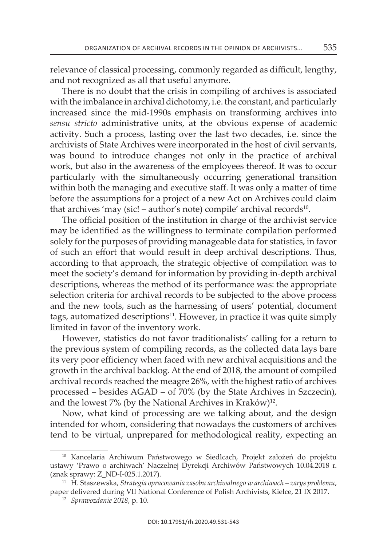relevance of classical processing, commonly regarded as difficult, lengthy, and not recognized as all that useful anymore.

There is no doubt that the crisis in compiling of archives is associated with the imbalance in archival dichotomy, i.e. the constant, and particularly increased since the mid-1990s emphasis on transforming archives into *sensu stricto* administrative units, at the obvious expense of academic activity. such a process, lasting over the last two decades, i.e. since the archivists of state archives were incorporated in the host of civil servants, was bound to introduce changes not only in the practice of archival work, but also in the awareness of the employees thereof. it was to occur particularly with the simultaneously occurring generational transition within both the managing and executive staff. It was only a matter of time before the assumptions for a project of a new Act on Archives could claim that archives 'may (sic! – author's note) compile' archival records<sup>10</sup>.

The official position of the institution in charge of the archivist service may be identified as the willingness to terminate compilation performed solely for the purposes of providing manageable data for statistics, in favor of such an effort that would result in deep archival descriptions. thus, according to that approach, the strategic objective of compilation was to meet the society's demand for information by providing in-depth archival descriptions, whereas the method of its performance was: the appropriate selection criteria for archival records to be subjected to the above process and the new tools, such as the harnessing of users' potential, document tags, automatized descriptions<sup>11</sup>. However, in practice it was quite simply limited in favor of the inventory work.

however, statistics do not favor traditionalists' calling for a return to the previous system of compiling records, as the collected data lays bare its very poor efficiency when faced with new archival acquisitions and the growth in the archival backlog. At the end of 2018, the amount of compiled archival records reached the meagre 26%, with the highest ratio of archives processed – besides  $AGAD - of 70%$  (by the State Archives in Szczecin), and the lowest 7% (by the National Archives in Kraków)<sup>12</sup>.

Now, what kind of processing are we talking about, and the design intended for whom, considering that nowadays the customers of archives tend to be virtual, unprepared for methodological reality, expecting an

<sup>&</sup>lt;sup>10</sup> Kancelaria Archiwum Państwowego w Siedlcach, Projekt założeń do projektu ustawy 'Prawo o archiwach' Naczelnej Dyrekcji Archiwów Państwowych 10.04.2018 r. (znak sprawy: Z\_ND-I-025.1.2017).

<sup>11</sup> h. staszewska, *Strategia opracowania zasobu archiwalnego w archiwach – zarys problemu*, paper delivered during Vii national conference of Polish archivists, Kielce, 21 iX 2017. 12 *Sprawozdanie 2018*, p. 10.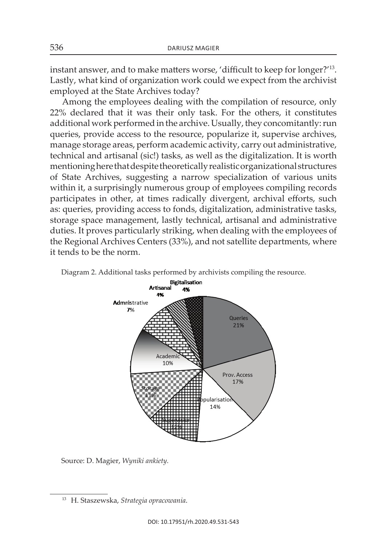instant answer, and to make matters worse, 'difficult to keep for longer?' 13. lastly, what kind of organization work could we expect from the archivist employed at the State Archives today?

among the employees dealing with the compilation of resource, only 22% declared that it was their only task. For the others, it constitutes additional work performed in the archive. Usually, they concomitantly: run queries, provide access to the resource, popularize it, supervise archives, manage storage areas, perform academic activity, carry out administrative, technical and artisanal (sic!) tasks, as well as the digitalization. it is worth mentioning here that despite theoretically realistic organizational structures of state archives, suggesting a narrow specialization of various units within it, a surprisingly numerous group of employees compiling records participates in other, at times radically divergent, archival efforts, such as: queries, providing access to fonds, digitalization, administrative tasks, storage space management, lastly technical, artisanal and administrative duties. it proves particularly striking, when dealing with the employees of the Regional Archives Centers (33%), and not satellite departments, where it tends to be the norm.





source: D. Magier, *Wyniki ankiety.*

<sup>13</sup> h. staszewska, *Strategia opracowania*.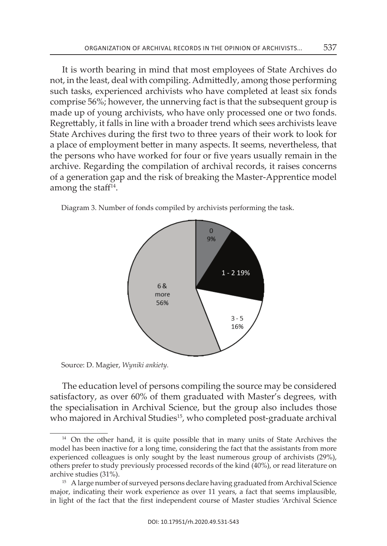It is worth bearing in mind that most employees of State Archives do not, in the least, deal with compiling. Admittedly, among those performing such tasks, experienced archivists who have completed at least six fonds comprise 56%; however, the unnerving fact is that the subsequent group is made up of young archivists, who have only processed one or two fonds. Regrettably, it falls in line with a broader trend which sees archivists leave State Archives during the first two to three years of their work to look for a place of employment better in many aspects. it seems, nevertheless, that the persons who have worked for four or five years usually remain in the archive. Regarding the compilation of archival records, it raises concerns of a generation gap and the risk of breaking the Master-Apprentice model among the staff<sup>14</sup>.

Diagram 3. Number of fonds compiled by archivists performing the task.



Source: D. Magier, *Wyniki ankiety*. source: D. Magier, *Wyniki ankiety.*

the specialisation in Archival Science, but the group also includes those who majored in Archival Studies<sup>15</sup>, who completed post-graduate archival The education level of persons compiling the source may be considered satisfactory, as over 60% of them graduated with Master's degrees, with

 $\frac{14}{14}$  On the other hand, it is quite possible that in many units of State Archives the experienced colleagues is only sought by the least numerous group of archivists (29%), by as  $100$  of archivest performing the compilation of records, a number that  $\alpha$  number that  $\alpha$ model has been inactive for a long time, considering the fact that the assistants from more others prefer to study previously processed records of the kind (40%), or read literature on archive studies (31%).

major, indicating their work experience as over 11 years, a fact that seems implausible, <sup>15</sup> A large number of surveyed persons declare having graduated from Archival Science in light of the fact that the first independent course of Master studies 'Archival Science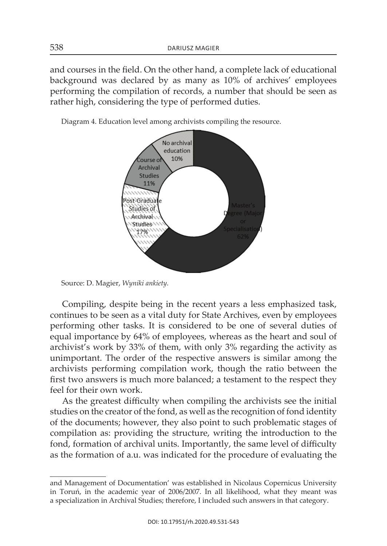and courses in the field. On the other hand, a complete lack of educational background was declared by as many as 10% of archives' employees performing the compilation of records, a number that should be seen as rather high, considering the type of performed duties.

Diagram 4. Education level among archivists compiling the resource.



source: D. Magier, *Wyniki ankiety.*

performing other tasks. It is considered to be one of several duties of unimportant. The order of the respective answers is similar among the first two answers is much more balanced; a testament to the respect they of several duties of experiments of experiments of employees, whereas as the heart and soul of experiments and soul of experiments and soul of experiments and soul of experiments and soul of experiments and soul of experim compiling, despite being in the recent years a less emphasized task, continues to be seen as a vital duty for State Archives, even by employees equal importance by 64% of employees, whereas as the heart and soul of archivist's work by 33% of them, with only 3% regarding the activity as archivists performing compilation work, though the ratio between the feel for their own work.

studies on the creator of the fond, as well as the recognition of fond identity of the documents; however, they also point to such problematic stages of fond, formation of archival units. Importantly, the same level of difficulty as the formation of a.u. was indicated for the procedure of evaluating the As the greatest difficulty when compiling the archivists see the initial compilation as: providing the structure, writing the introduction to the

and Management of Documentation' was established in Nicolaus Copernicus University in toruń, in the academic year of 2006/2007. in all likelihood, what they meant was a specialization in Archival Studies; therefore, I included such answers in that category.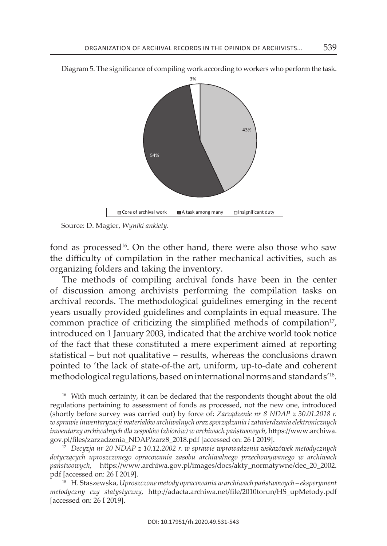

Diagram 5. The significance of compiling work according to workers who perform the task.

Source: D. Magier, *Wyniki ankiety*. source: D. Magier, *Wyniki ankiety.*

fond as processed<sup>16</sup>. On the other hand, there were also those who saw the difficulty of compilation in the rather mechanical activities, such as organizing folders and taking the inventory.

The methods of compiling archival fonds have been in the center of discussion among archivists performing the compilation tasks on archival records. the methodological guidelines emerging in the recent years usually provided guidelines and complaints in equal measure. The common practice of criticizing the simplified methods of compilation<sup>17</sup>, introduced on 1 January 2003, indicated that the archive world took notice of the fact that these constituted a mere experiment aimed at reporting statistical – but not qualitative – results, whereas the conclusions drawn pointed to 'the lack of state-of-the art, uniform, up-to-date and coherent methodological regulations, based on international norms and standards' 18.

<sup>&</sup>lt;sup>16</sup> With much certainty, it can be declared that the respondents thought about the old regulations pertaining to assessment of fonds as processed, not the new one, introduced (shortly before survey was carried out) by force of: *Zarządzenie nr 8 NDAP z 30.01.2018 r. w sprawie inwentaryzacji materiałów archiwalnych oraz sporządzania i zatwierdzania elektronicznych inwentarzy archiwalnych dla zespołów (zbiorów) w archiwach państwowych*, https://www.archiwa. gov.pl/files/zarzadzenia\_NDAP/zarz8\_2018.pdf [accessed on: 26 I 2019].

<sup>17</sup> *Decyzja nr 20 NDAP z 10.12.2002 r. w sprawie wprowadzenia wskazówek metodycznych dotyczących uproszczonego opracowania zasobu archiwalnego przechowywanego w archiwach państwowych*, https://www.archiwa.gov.pl/images/docs/akty\_normatywne/dec\_20\_2002. pdf [accessed on: 26 i 2019].

<sup>18</sup> h. staszewska, *Uproszczone metody opracowania w archiwach państwowych – eksperyment metodyczny czy statystyczny*, http://adacta.archiwa.net/file/2010torun/Hs\_upMetody.pdf [accessed on: 26 i 2019].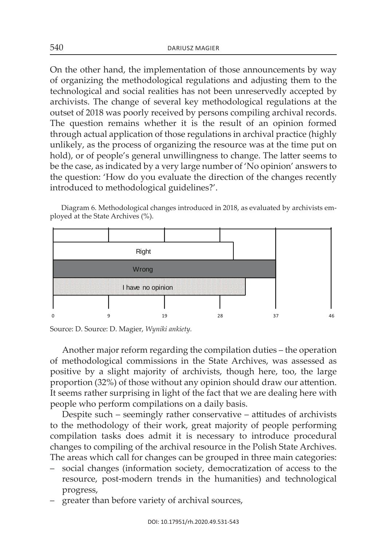On the other hand, the implementation of those announcements by way of organizing the methodological regulations and adjusting them to the technological and social realities has not been unreservedly accepted by archivists. The change of several key methodological regulations at the outset of 2018 was poorly received by persons compiling archival records. The question remains whether it is the result of an opinion formed through actual application of those regulations in archival practice (highly unlikely, as the process of organizing the resource was at the time put on hold), or of people's general unwillingness to change. The latter seems to be the case, as indicated by a very large number of 'No opinion' answers to the question: 'How do you evaluate the direction of the changes recently introduced to methodological guidelines?'.

Diagram 6. Methodological changes introduced in 2018, as evaluated by archivists employed at the State Archives (%).



source: D. source: D. Magier, *Wyniki ankiety.*

another major reform regarding the compilation duties – the operation of methodological commissions in the State Archives, was assessed as positive by a slight majority of archivists, though here, too, the large proportion (32%) of those without any opinion should draw our attention. It seems rather surprising in light of the fact that we are dealing here with people who perform compilations on a daily basis.

Despite such – seemingly rather conservative – attitudes of archivists to the methodology of their work, great majority of people performing compilation tasks does admit it is necessary to introduce procedural changes to compiling of the archival resource in the Polish State Archives. The areas which call for changes can be grouped in three main categories:

- social changes (information society, democratization of access to the resource, post-modern trends in the humanities) and technological progress,
- greater than before variety of archival sources,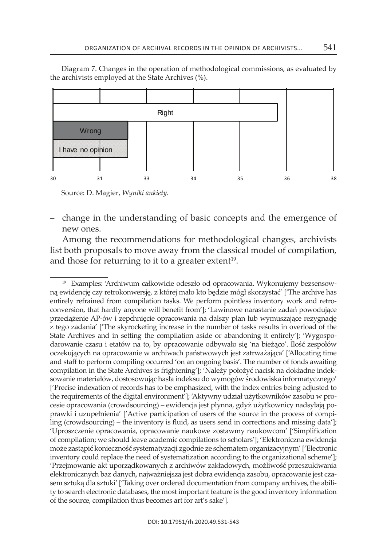Diagram 7. changes in the operation of methodological commissions, as evaluated by the archivists employed at the State Archives (%).



source: D. Magier, *Wyniki ankiety.*

– change in the understanding of basic concepts and the emergence of new ones.

among the recommendations for methodological changes, archivists list both proposals to move away from the classical model of compilation, and those for returning to it to a greater extent<sup>19</sup>.

<sup>&</sup>lt;sup>19</sup> Examples: 'Archiwum całkowicie odeszło od opracowania. Wykonujemy bezsensowną ewidencję czy retrokonwersję, z której mało kto będzie mógł skorzystać' ['the archive has entirely refrained from compilation tasks. We perform pointless inventory work and retroconversion, that hardly anyone will benefit from']; 'Lawinowe narastanie zadań powodujące przeciążenie aP-ów i zepchnięcie opracowania na dalszy plan lub wymuszające rezygnację z tego zadania' ['The skyrocketing increase in the number of tasks results in overload of the state archives and in setting the compilation aside or abandoning it entirely']; 'Wygospodarowanie czasu i etatów na to, by opracowanie odbywało się 'na bieżąco'. ilość zespołów oczekujących na opracowanie w archiwach państwowych jest zatrważająca' ['allocating time and staff to perform compiling occurred 'on an ongoing basis'. the number of fonds awaiting compilation in the state archives is frightening']; 'należy położyć nacisk na dokładne indeksowanie materiałów, dostosowując hasła indeksu do wymogów środowiska informatycznego' ['Precise indexation of records has to be emphasized, with the index entries being adjusted to the requirements of the digital environment']; 'aktywny udział użytkowników zasobu w procesie opracowania (crowdsourcing) – ewidencja jest płynna, gdyż użytkownicy nadsyłają poprawki i uzupełnienia' ['active participation of users of the source in the process of compiling (crowdsourcing) – the inventory is fluid, as users send in corrections and missing data']; 'uproszczenie opracowania, opracowanie naukowe zostawmy naukowcom' ['simplification of compilation; we should leave academic compilations to scholars']; 'Elektroniczna ewidencja może zastąpić konieczność systematyzacji zgodnie ze schematem organizacyjnym' ['electronic inventory could replace the need of systematization according to the organizational scheme']; 'Przejmowanie akt uporządkowanych z archiwów zakładowych, możliwość przeszukiwania elektronicznych baz danych, najważniejsza jest dobra ewidencja zasobu, opracowanie jest czasem sztuką dla sztuki' ['Taking over ordered documentation from company archives, the ability to search electronic databases, the most important feature is the good inventory information of the source, compilation thus becomes art for art's sake'].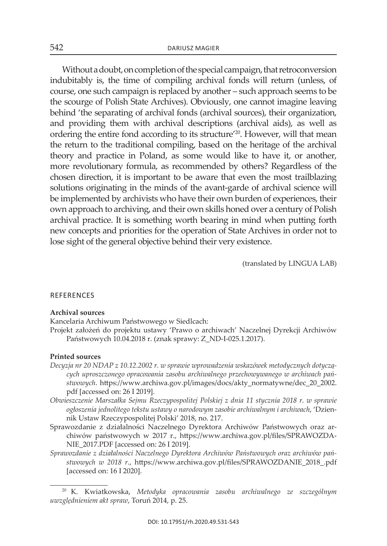Without a doubt, on completion of the special campaign, that retroconversion indubitably is, the time of compiling archival fonds will return (unless, of course, one such campaign is replaced by another – such approach seems to be the scourge of Polish State Archives). Obviously, one cannot imagine leaving behind 'the separating of archival fonds (archival sources), their organization, and providing them with archival descriptions (archival aids), as well as ordering the entire fond according to its structure' 20. however, will that mean the return to the traditional compiling, based on the heritage of the archival theory and practice in Poland, as some would like to have it, or another, more revolutionary formula, as recommended by others? Regardless of the chosen direction, it is important to be aware that even the most trailblazing solutions originating in the minds of the avant-garde of archival science will be implemented by archivists who have their own burden of experiences, their own approach to archiving, and their own skills honed over a century of Polish archival practice. it is something worth bearing in mind when putting forth new concepts and priorities for the operation of State Archives in order not to lose sight of the general objective behind their very existence.

(translated by LinGua LaB)

#### **REFERENCES**

#### **archival sources**

Kancelaria Archiwum Państwowego w Siedlcach:

Projekt założeń do projektu ustawy 'Prawo o archiwach' Naczelnej Dyrekcji Archiwów Państwowych 10.04.2018 r. (znak sprawy: Z\_ND-I-025.1.2017).

#### **Printed sources**

- *Decyzja nr 20 NDAP z 10.12.2002 r. w sprawie wprowadzenia wskazówek metodycznych dotyczących uproszczonego opracowania zasobu archiwalnego przechowywanego w archiwach państwowych*. https://www.archiwa.gov.pl/images/docs/akty\_normatywne/dec\_20\_2002. pdf [accessed on: 26 i 2019].
- *Obwieszczenie Marszałka Sejmu Rzeczypospolitej Polskiej z dnia 11 stycznia 2018 r. w sprawie ogłoszenia jednolitego tekstu ustawy o narodowym zasobie archiwalnym i archiwach*, 'Dziennik Ustaw Rzeczypospolitej Polski' 2018, no. 217.
- Sprawozdanie z działalności Naczelnego Dyrektora Archiwów Państwowych oraz archiwów państwowych w 2017 r., https://www.archiwa.gov.pl/files/SPRAWOZDA-NIE\_2017.PDF [accessed on: 26 I 2019].
- *Sprawozdanie z działalności Naczelnego Dyrektora Archiwów Państwowych oraz archiwów pań*stwowych w 2018 r., https://www.archiwa.gov.pl/files/SPRAWOZDANIE\_2018\_.pdf [accessed on: 16 i 2020].

<sup>20</sup> K. Kwiatkowska, *Metodyka opracowania zasobu archiwalnego ze szczególnym uwzględnieniem akt spraw*, toruń 2014, p. 25.